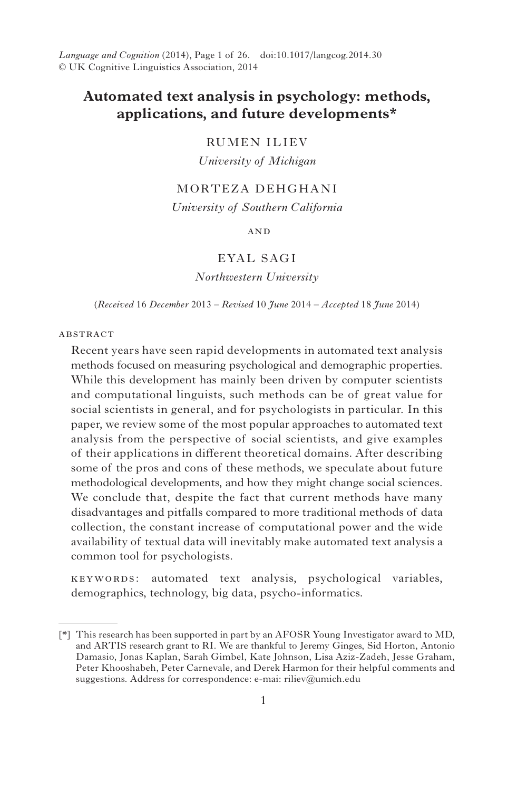*Language and Cognition* (2014), Page 1 of 26 . doi:10.1017/langcog.2014.30 © UK Cognitive Linguistics Association, 2014

# **Automated text analysis in psychology: methods, applications, and future developments \***

# RUMEN ILIEV

*University of Michigan* 

# MORTEZA DEHGHANI

*University of Southern California* 

**AND** 

# EYAL SAGI

### *Northwestern University*

(*Received* 16 *December* 2013 *– Revised* 10 *June* 2014 *– Accepted* 18 *June* 2014)

#### **ABSTRACT**

Recent years have seen rapid developments in automated text analysis methods focused on measuring psychological and demographic properties. While this development has mainly been driven by computer scientists and computational linguists, such methods can be of great value for social scientists in general, and for psychologists in particular. In this paper, we review some of the most popular approaches to automated text analysis from the perspective of social scientists, and give examples of their applications in different theoretical domains. After describing some of the pros and cons of these methods, we speculate about future methodological developments, and how they might change social sciences. We conclude that, despite the fact that current methods have many disadvantages and pitfalls compared to more traditional methods of data collection, the constant increase of computational power and the wide availability of textual data will inevitably make automated text analysis a common tool for psychologists.

KEYWORDS: automated text analysis, psychological variables, demographics, technology, big data, psycho-informatics.

<sup>[\*]</sup> This research has been supported in part by an AFOSR Young Investigator award to MD, and ARTIS research grant to RI. We are thankful to Jeremy Ginges, Sid Horton, Antonio Damasio, Jonas Kaplan, Sarah Gimbel, Kate Johnson, Lisa Aziz-Zadeh, Jesse Graham, Peter Khooshabeh, Peter Carnevale, and Derek Harmon for their helpful comments and suggestions. Address for correspondence: e-mai: riliev@umich.edu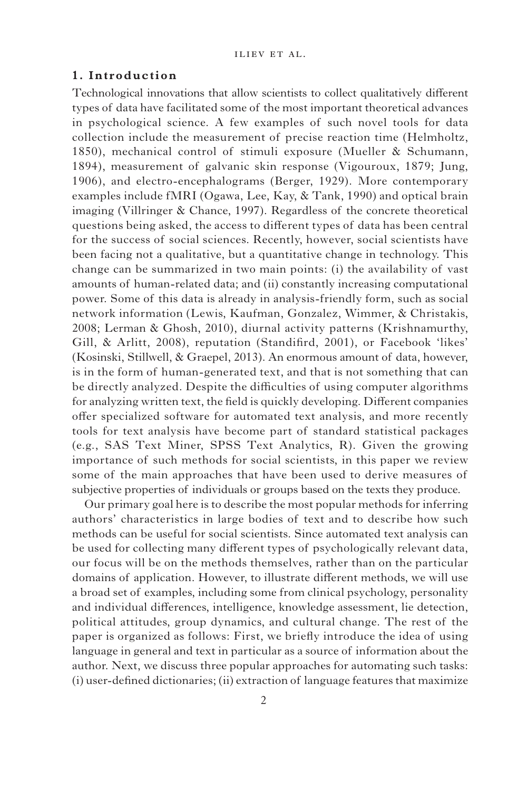### **1. Introduction**

Technological innovations that allow scientists to collect qualitatively different types of data have facilitated some of the most important theoretical advances in psychological science. A few examples of such novel tools for data collection include the measurement of precise reaction time (Helmholtz, 1850), mechanical control of stimuli exposure (Mueller & Schumann, 1894), measurement of galvanic skin response (Vigouroux, 1879; Jung, 1906), and electro-encephalograms (Berger, 1929). More contemporary examples include fMRI (Ogawa, Lee, Kay, & Tank, 1990) and optical brain imaging (Villringer  $\&$  Chance, 1997). Regardless of the concrete theoretical questions being asked, the access to different types of data has been central for the success of social sciences. Recently, however, social scientists have been facing not a qualitative, but a quantitative change in technology. This change can be summarized in two main points: (i) the availability of vast amounts of human-related data; and (ii) constantly increasing computational power. Some of this data is already in analysis-friendly form, such as social network information (Lewis, Kaufman, Gonzalez, Wimmer, & Christakis, 2008; Lerman & Ghosh, 2010), diurnal activity patterns (Krishnamurthy, Gill, & Arlitt, 2008), reputation (Standifird, 2001), or Facebook 'likes' (Kosinski, Stillwell, & Graepel, 2013 ). An enormous amount of data, however, is in the form of human-generated text, and that is not something that can be directly analyzed. Despite the difficulties of using computer algorithms for analyzing written text, the field is quickly developing. Different companies offer specialized software for automated text analysis, and more recently tools for text analysis have become part of standard statistical packages (e.g., SAS Text Miner, SPSS Text Analytics, R). Given the growing importance of such methods for social scientists, in this paper we review some of the main approaches that have been used to derive measures of subjective properties of individuals or groups based on the texts they produce.

Our primary goal here is to describe the most popular methods for inferring authors' characteristics in large bodies of text and to describe how such methods can be useful for social scientists. Since automated text analysis can be used for collecting many different types of psychologically relevant data, our focus will be on the methods themselves, rather than on the particular domains of application. However, to illustrate different methods, we will use a broad set of examples, including some from clinical psychology, personality and individual differences, intelligence, knowledge assessment, lie detection, political attitudes, group dynamics, and cultural change. The rest of the paper is organized as follows: First, we briefly introduce the idea of using language in general and text in particular as a source of information about the author. Next, we discuss three popular approaches for automating such tasks:  $(i)$  user-defined dictionaries;  $(ii)$  extraction of language features that maximize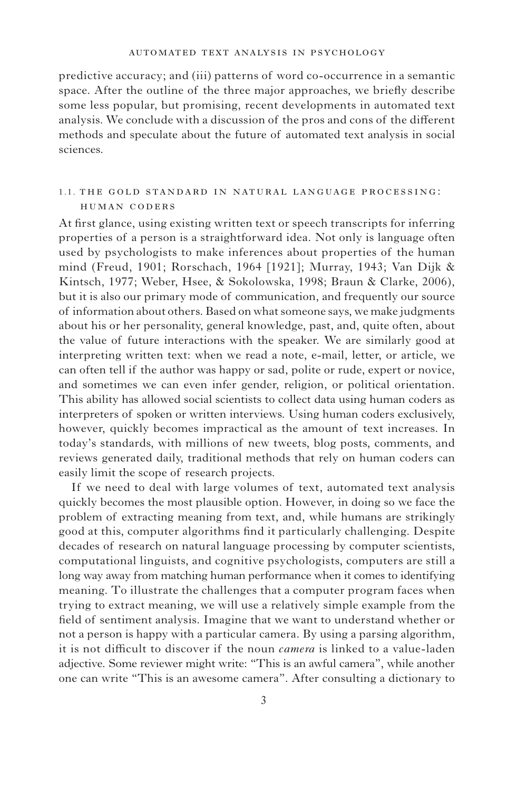#### automated text analysis in psychology

predictive accuracy; and (iii) patterns of word co-occurrence in a semantic space. After the outline of the three major approaches, we briefly describe some less popular, but promising, recent developments in automated text analysis. We conclude with a discussion of the pros and cons of the different methods and speculate about the future of automated text analysis in social sciences.

### 1.1. THE GOLD STANDARD IN NATURAL LANGUAGE PROCESSING: human c oders

At first glance, using existing written text or speech transcripts for inferring properties of a person is a straightforward idea. Not only is language often used by psychologists to make inferences about properties of the human mind (Freud, 1901; Rorschach, 1964 [1921]; Murray, 1943; Van Dijk & Kintsch, 1977; Weber, Hsee, & Sokolowska, 1998; Braun & Clarke, 2006), but it is also our primary mode of communication, and frequently our source of information about others. Based on what someone says, we make judgments about his or her personality, general knowledge, past, and, quite often, about the value of future interactions with the speaker. We are similarly good at interpreting written text: when we read a note, e-mail, letter, or article, we can often tell if the author was happy or sad, polite or rude, expert or novice, and sometimes we can even infer gender, religion, or political orientation. This ability has allowed social scientists to collect data using human coders as interpreters of spoken or written interviews. Using human coders exclusively, however, quickly becomes impractical as the amount of text increases. In today's standards, with millions of new tweets, blog posts, comments, and reviews generated daily, traditional methods that rely on human coders can easily limit the scope of research projects.

If we need to deal with large volumes of text, automated text analysis quickly becomes the most plausible option. However, in doing so we face the problem of extracting meaning from text, and, while humans are strikingly good at this, computer algorithms find it particularly challenging. Despite decades of research on natural language processing by computer scientists, computational linguists, and cognitive psychologists, computers are still a long way away from matching human performance when it comes to identifying meaning. To illustrate the challenges that a computer program faces when trying to extract meaning, we will use a relatively simple example from the field of sentiment analysis. Imagine that we want to understand whether or not a person is happy with a particular camera. By using a parsing algorithm, it is not difficult to discover if the noun *camera* is linked to a value-laden adjective. Some reviewer might write: "This is an awful camera", while another one can write "This is an awesome camera". After consulting a dictionary to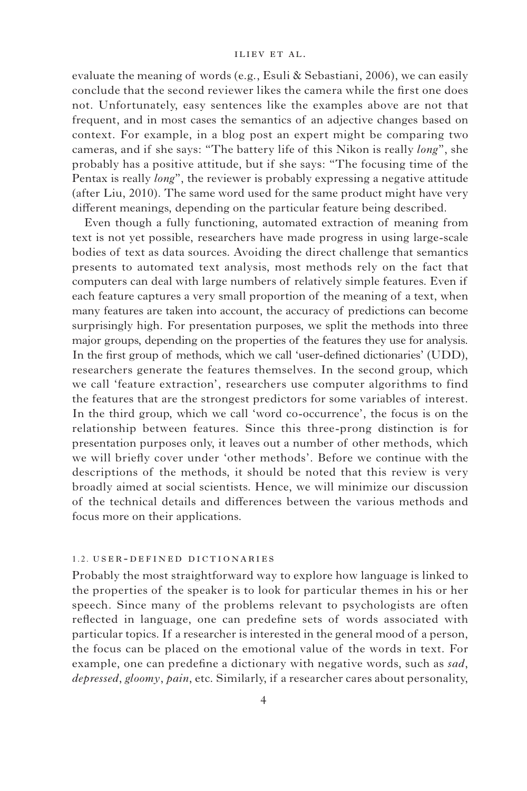evaluate the meaning of words (e.g., Esuli & Sebastiani, 2006), we can easily conclude that the second reviewer likes the camera while the first one does not. Unfortunately, easy sentences like the examples above are not that frequent, and in most cases the semantics of an adjective changes based on context. For example, in a blog post an expert might be comparing two cameras, and if she says: "The battery life of this Nikon is really *long*", she probably has a positive attitude, but if she says: "The focusing time of the Pentax is really *long*", the reviewer is probably expressing a negative attitude (after Liu, 2010). The same word used for the same product might have very different meanings, depending on the particular feature being described.

Even though a fully functioning, automated extraction of meaning from text is not yet possible, researchers have made progress in using large-scale bodies of text as data sources. Avoiding the direct challenge that semantics presents to automated text analysis, most methods rely on the fact that computers can deal with large numbers of relatively simple features. Even if each feature captures a very small proportion of the meaning of a text, when many features are taken into account, the accuracy of predictions can become surprisingly high. For presentation purposes, we split the methods into three major groups, depending on the properties of the features they use for analysis. In the first group of methods, which we call 'user-defined dictionaries' (UDD), researchers generate the features themselves. In the second group, which we call 'feature extraction', researchers use computer algorithms to find the features that are the strongest predictors for some variables of interest. In the third group, which we call 'word co-occurrence', the focus is on the relationship between features. Since this three-prong distinction is for presentation purposes only, it leaves out a number of other methods, which we will briefly cover under 'other methods'. Before we continue with the descriptions of the methods, it should be noted that this review is very broadly aimed at social scientists. Hence, we will minimize our discussion of the technical details and differences between the various methods and focus more on their applications.

### 1.2. user-defined dictionaries

Probably the most straightforward way to explore how language is linked to the properties of the speaker is to look for particular themes in his or her speech. Since many of the problems relevant to psychologists are often reflected in language, one can predefine sets of words associated with particular topics. If a researcher is interested in the general mood of a person, the focus can be placed on the emotional value of the words in text. For example, one can predefine a dictionary with negative words, such as *sad*, *depressed*, *gloomy*, *pain*, etc. Similarly, if a researcher cares about personality,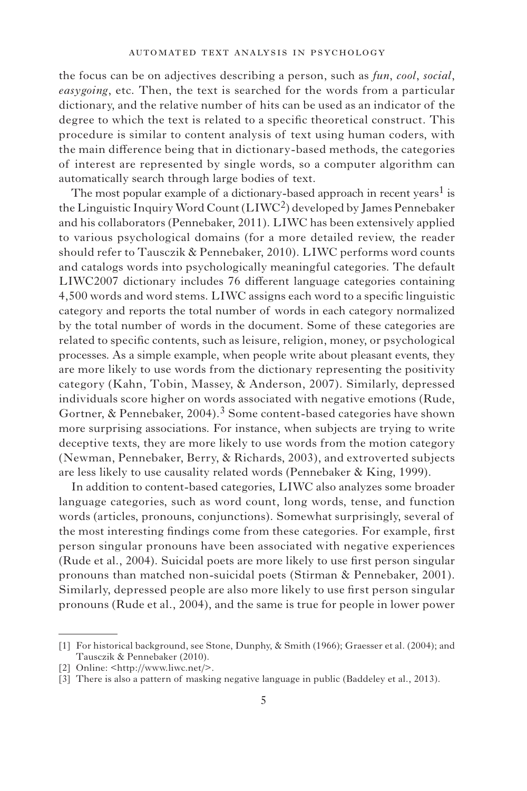the focus can be on adjectives describing a person, such as *fun*, *cool*, *social*, *easygoing*, etc. Then, the text is searched for the words from a particular dictionary, and the relative number of hits can be used as an indicator of the degree to which the text is related to a specific theoretical construct. This procedure is similar to content analysis of text using human coders, with the main difference being that in dictionary-based methods, the categories of interest are represented by single words, so a computer algorithm can automatically search through large bodies of text.

The most popular example of a dictionary-based approach in recent years<sup>1</sup> is the Linguistic Inquiry Word Count (LIWC<sup>2</sup>) developed by James Pennebaker and his collaborators (Pennebaker, 2011 ). LIWC has been extensively applied to various psychological domains (for a more detailed review, the reader should refer to Tausczik & Pennebaker, 2010 ). LIWC performs word counts and catalogs words into psychologically meaningful categories. The default LIWC2007 dictionary includes 76 different language categories containing 4,500 words and word stems. LIWC assigns each word to a specifi c linguistic category and reports the total number of words in each category normalized by the total number of words in the document. Some of these categories are related to specific contents, such as leisure, religion, money, or psychological processes. As a simple example, when people write about pleasant events, they are more likely to use words from the dictionary representing the positivity category (Kahn, Tobin, Massey, & Anderson, 2007). Similarly, depressed individuals score higher on words associated with negative emotions (Rude, Gortner, & Pennebaker, 2004).<sup>3</sup> Some content-based categories have shown more surprising associations. For instance, when subjects are trying to write deceptive texts, they are more likely to use words from the motion category (Newman, Pennebaker, Berry, & Richards, 2003 ), and extroverted subjects are less likely to use causality related words (Pennebaker & King, 1999).

In addition to content-based categories, LIWC also analyzes some broader language categories, such as word count, long words, tense, and function words (articles, pronouns, conjunctions). Somewhat surprisingly, several of the most interesting findings come from these categories. For example, first person singular pronouns have been associated with negative experiences (Rude et al., 2004). Suicidal poets are more likely to use first person singular pronouns than matched non-suicidal poets (Stirman & Pennebaker, 2001 ). Similarly, depressed people are also more likely to use first person singular pronouns (Rude et al., 2004), and the same is true for people in lower power

<sup>[1]</sup> For historical background, see Stone, Dunphy, & Smith (1966); Graesser et al. (2004); and Tausczik & Pennebaker (2010).

<sup>[2]</sup> Online: <http://www.liwc.net/>.

 $\begin{bmatrix} 3 \end{bmatrix}$  There is also a pattern of masking negative language in public (Baddeley et al., 2013).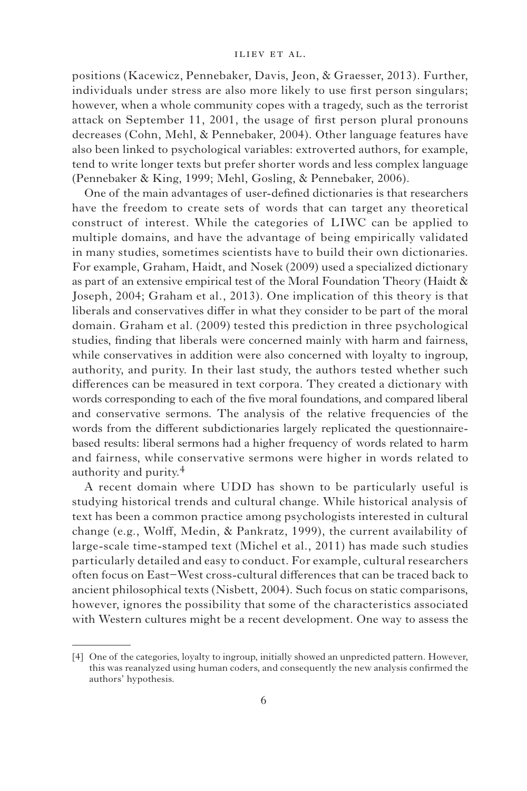positions (Kacewicz, Pennebaker, Davis, Jeon, & Graesser, 2013 ). Further, individuals under stress are also more likely to use first person singulars; however, when a whole community copes with a tragedy, such as the terrorist attack on September 11, 2001, the usage of first person plural pronouns decreases (Cohn, Mehl, & Pennebaker, 2004 ). Other language features have also been linked to psychological variables: extroverted authors, for example, tend to write longer texts but prefer shorter words and less complex language (Pennebaker & King, 1999; Mehl, Gosling, & Pennebaker, 2006).

One of the main advantages of user-defined dictionaries is that researchers have the freedom to create sets of words that can target any theoretical construct of interest. While the categories of LIWC can be applied to multiple domains, and have the advantage of being empirically validated in many studies, sometimes scientists have to build their own dictionaries. For example, Graham, Haidt, and Nosek (2009) used a specialized dictionary as part of an extensive empirical test of the Moral Foundation Theory (Haidt & Joseph, 2004; Graham et al., 2013). One implication of this theory is that liberals and conservatives differ in what they consider to be part of the moral domain. Graham et al. (2009) tested this prediction in three psychological studies, finding that liberals were concerned mainly with harm and fairness, while conservatives in addition were also concerned with loyalty to ingroup, authority, and purity. In their last study, the authors tested whether such differences can be measured in text corpora. They created a dictionary with words corresponding to each of the five moral foundations, and compared liberal and conservative sermons. The analysis of the relative frequencies of the words from the different subdictionaries largely replicated the questionnairebased results: liberal sermons had a higher frequency of words related to harm and fairness, while conservative sermons were higher in words related to authority and purity. 4

A recent domain where UDD has shown to be particularly useful is studying historical trends and cultural change. While historical analysis of text has been a common practice among psychologists interested in cultural change (e.g., Wolff, Medin,  $\&$  Pankratz, 1999), the current availability of large-scale time-stamped text (Michel et al., 2011) has made such studies particularly detailed and easy to conduct. For example, cultural researchers often focus on East−West cross-cultural diff erences that can be traced back to ancient philosophical texts (Nisbett, 2004). Such focus on static comparisons, however, ignores the possibility that some of the characteristics associated with Western cultures might be a recent development. One way to assess the

<sup>[4]</sup> One of the categories, loyalty to ingroup, initially showed an unpredicted pattern. However, this was reanalyzed using human coders, and consequently the new analysis confirmed the authors' hypothesis.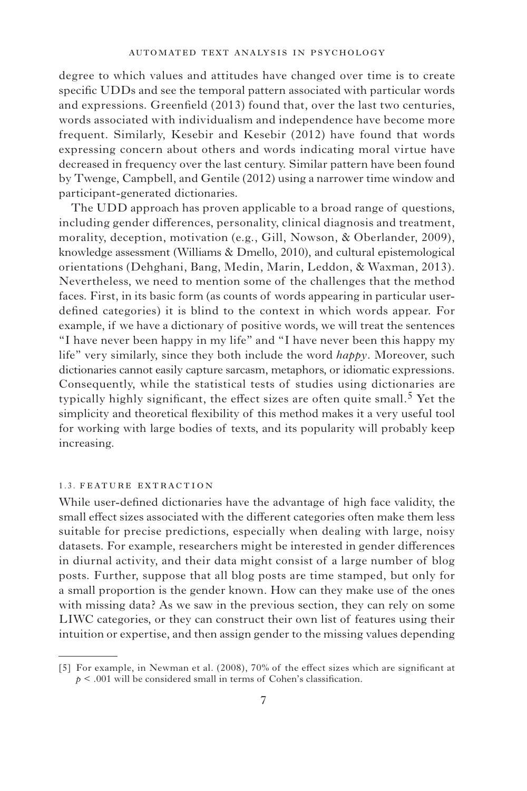degree to which values and attitudes have changed over time is to create specific UDDs and see the temporal pattern associated with particular words and expressions. Greenfield  $(2013)$  found that, over the last two centuries, words associated with individualism and independence have become more frequent. Similarly, Kesebir and Kesebir (2012) have found that words expressing concern about others and words indicating moral virtue have decreased in frequency over the last century. Similar pattern have been found by Twenge, Campbell, and Gentile ( 2012 ) using a narrower time window and participant-generated dictionaries.

The UDD approach has proven applicable to a broad range of questions, including gender differences, personality, clinical diagnosis and treatment, morality, deception, motivation (e.g., Gill, Nowson, & Oberlander, 2009), knowledge assessment (Williams & Dmello, 2010), and cultural epistemological orientations (Dehghani, Bang, Medin, Marin, Leddon, & Waxman, 2013 ). Nevertheless, we need to mention some of the challenges that the method faces. First, in its basic form (as counts of words appearing in particular userdefined categories) it is blind to the context in which words appear. For example, if we have a dictionary of positive words, we will treat the sentences "I have never been happy in my life" and "I have never been this happy my life" very similarly, since they both include the word *happy*. Moreover, such dictionaries cannot easily capture sarcasm, metaphors, or idiomatic expressions. Consequently, while the statistical tests of studies using dictionaries are typically highly significant, the effect sizes are often quite small.<sup>5</sup> Yet the simplicity and theoretical flexibility of this method makes it a very useful tool for working with large bodies of texts, and its popularity will probably keep increasing.

### 1.3. feature extraction

While user-defined dictionaries have the advantage of high face validity, the small effect sizes associated with the different categories often make them less suitable for precise predictions, especially when dealing with large, noisy datasets. For example, researchers might be interested in gender differences in diurnal activity, and their data might consist of a large number of blog posts. Further, suppose that all blog posts are time stamped, but only for a small proportion is the gender known. How can they make use of the ones with missing data? As we saw in the previous section, they can rely on some LIWC categories, or they can construct their own list of features using their intuition or expertise, and then assign gender to the missing values depending

<sup>[5]</sup> For example, in Newman et al. (2008), 70% of the effect sizes which are significant at  $p \leq 0.001$  will be considered small in terms of Cohen's classification.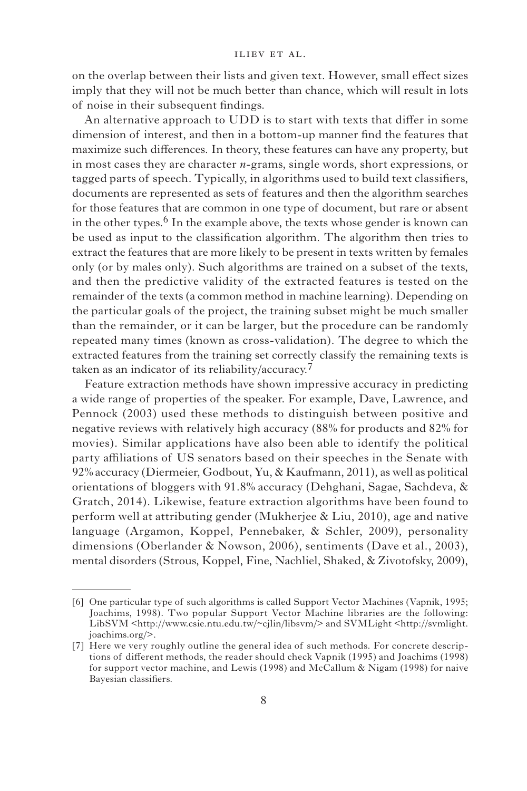on the overlap between their lists and given text. However, small effect sizes imply that they will not be much better than chance, which will result in lots of noise in their subsequent findings.

An alternative approach to UDD is to start with texts that differ in some dimension of interest, and then in a bottom-up manner find the features that maximize such differences. In theory, these features can have any property, but in most cases they are character *n*-grams, single words, short expressions, or tagged parts of speech. Typically, in algorithms used to build text classifiers, documents are represented as sets of features and then the algorithm searches for those features that are common in one type of document, but rare or absent in the other types.<sup>6</sup> In the example above, the texts whose gender is known can be used as input to the classification algorithm. The algorithm then tries to extract the features that are more likely to be present in texts written by females only (or by males only). Such algorithms are trained on a subset of the texts, and then the predictive validity of the extracted features is tested on the remainder of the texts (a common method in machine learning). Depending on the particular goals of the project, the training subset might be much smaller than the remainder, or it can be larger, but the procedure can be randomly repeated many times (known as cross-validation). The degree to which the extracted features from the training set correctly classify the remaining texts is taken as an indicator of its reliability/accuracy.<sup>7</sup>

Feature extraction methods have shown impressive accuracy in predicting a wide range of properties of the speaker. For example, Dave, Lawrence, and Pennock (2003) used these methods to distinguish between positive and negative reviews with relatively high accuracy (88% for products and 82% for movies). Similar applications have also been able to identify the political party affiliations of US senators based on their speeches in the Senate with 92% accuracy (Diermeier, Godbout, Yu, & Kaufmann, 2011 ), as well as political orientations of bloggers with 91.8% accuracy (Dehghani, Sagae, Sachdeva, & Gratch, 2014 ). Likewise, feature extraction algorithms have been found to perform well at attributing gender (Mukherjee  $\&$  Liu, 2010), age and native language (Argamon, Koppel, Pennebaker, & Schler, 2009), personality dimensions (Oberlander & Nowson, 2006), sentiments (Dave et al., 2003), mental disorders (Strous, Koppel, Fine, Nachliel, Shaked, & Zivotofsky, 2009),

<sup>[6]</sup> One particular type of such algorithms is called Support Vector Machines (Vapnik, 1995; Joachims, 1998). Two popular Support Vector Machine libraries are the following: LibSVM <http://www.csie.ntu.edu.tw/~cjlin/libsvm/> and SVMLight <http://svmlight. joachims.org/>.

<sup>[7]</sup> Here we very roughly outline the general idea of such methods. For concrete descriptions of different methods, the reader should check Vapnik (1995) and Joachims (1998) for support vector machine, and Lewis (1998) and McCallum & Nigam (1998) for naive Bayesian classifiers.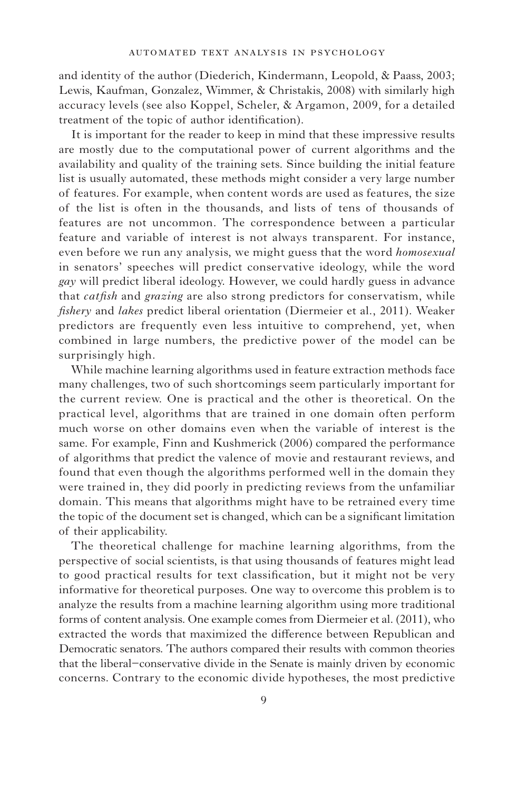and identity of the author (Diederich, Kindermann, Leopold, & Paass, 2003 ; Lewis, Kaufman, Gonzalez, Wimmer, & Christakis, 2008) with similarly high accuracy levels (see also Koppel, Scheler, & Argamon, 2009 , for a detailed treatment of the topic of author identification).

It is important for the reader to keep in mind that these impressive results are mostly due to the computational power of current algorithms and the availability and quality of the training sets. Since building the initial feature list is usually automated, these methods might consider a very large number of features. For example, when content words are used as features, the size of the list is often in the thousands, and lists of tens of thousands of features are not uncommon. The correspondence between a particular feature and variable of interest is not always transparent. For instance, even before we run any analysis, we might guess that the word *homosexual* in senators' speeches will predict conservative ideology, while the word *gay* will predict liberal ideology. However, we could hardly guess in advance that *catfish* and *grazing* are also strong predictors for conservatism, while *fishery* and *lakes* predict liberal orientation (Diermeier et al., 2011). Weaker predictors are frequently even less intuitive to comprehend, yet, when combined in large numbers, the predictive power of the model can be surprisingly high.

While machine learning algorithms used in feature extraction methods face many challenges, two of such shortcomings seem particularly important for the current review. One is practical and the other is theoretical. On the practical level, algorithms that are trained in one domain often perform much worse on other domains even when the variable of interest is the same. For example, Finn and Kushmerick (2006) compared the performance of algorithms that predict the valence of movie and restaurant reviews, and found that even though the algorithms performed well in the domain they were trained in, they did poorly in predicting reviews from the unfamiliar domain. This means that algorithms might have to be retrained every time the topic of the document set is changed, which can be a significant limitation of their applicability.

The theoretical challenge for machine learning algorithms, from the perspective of social scientists, is that using thousands of features might lead to good practical results for text classification, but it might not be very informative for theoretical purposes. One way to overcome this problem is to analyze the results from a machine learning algorithm using more traditional forms of content analysis. One example comes from Diermeier et al. ( 2011 ), who extracted the words that maximized the difference between Republican and Democratic senators. The authors compared their results with common theories that the liberal−conservative divide in the Senate is mainly driven by economic concerns. Contrary to the economic divide hypotheses, the most predictive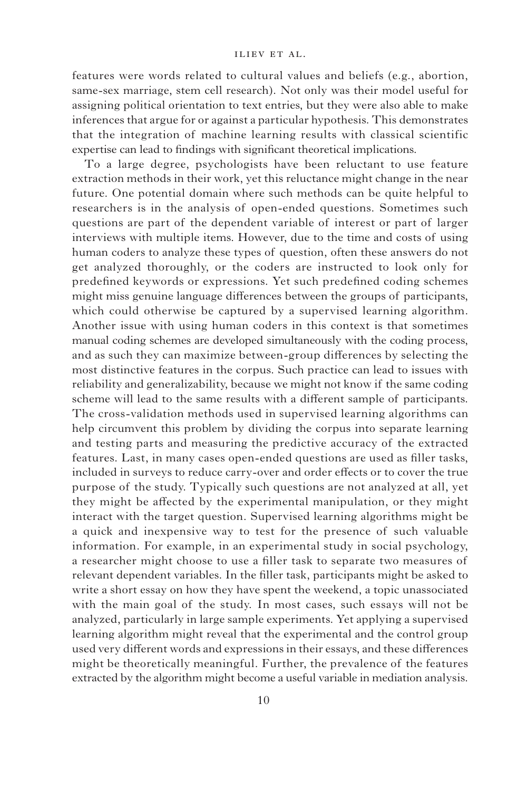features were words related to cultural values and beliefs (e.g., abortion, same-sex marriage, stem cell research). Not only was their model useful for assigning political orientation to text entries, but they were also able to make inferences that argue for or against a particular hypothesis. This demonstrates that the integration of machine learning results with classical scientific expertise can lead to findings with significant theoretical implications.

To a large degree, psychologists have been reluctant to use feature extraction methods in their work, yet this reluctance might change in the near future. One potential domain where such methods can be quite helpful to researchers is in the analysis of open-ended questions. Sometimes such questions are part of the dependent variable of interest or part of larger interviews with multiple items. However, due to the time and costs of using human coders to analyze these types of question, often these answers do not get analyzed thoroughly, or the coders are instructed to look only for predefined keywords or expressions. Yet such predefined coding schemes might miss genuine language differences between the groups of participants, which could otherwise be captured by a supervised learning algorithm. Another issue with using human coders in this context is that sometimes manual coding schemes are developed simultaneously with the coding process, and as such they can maximize between-group differences by selecting the most distinctive features in the corpus. Such practice can lead to issues with reliability and generalizability, because we might not know if the same coding scheme will lead to the same results with a different sample of participants. The cross-validation methods used in supervised learning algorithms can help circumvent this problem by dividing the corpus into separate learning and testing parts and measuring the predictive accuracy of the extracted features. Last, in many cases open-ended questions are used as filler tasks, included in surveys to reduce carry-over and order effects or to cover the true purpose of the study. Typically such questions are not analyzed at all, yet they might be affected by the experimental manipulation, or they might interact with the target question. Supervised learning algorithms might be a quick and inexpensive way to test for the presence of such valuable information. For example, in an experimental study in social psychology, a researcher might choose to use a filler task to separate two measures of relevant dependent variables. In the filler task, participants might be asked to write a short essay on how they have spent the weekend, a topic unassociated with the main goal of the study. In most cases, such essays will not be analyzed, particularly in large sample experiments. Yet applying a supervised learning algorithm might reveal that the experimental and the control group used very different words and expressions in their essays, and these differences might be theoretically meaningful. Further, the prevalence of the features extracted by the algorithm might become a useful variable in mediation analysis.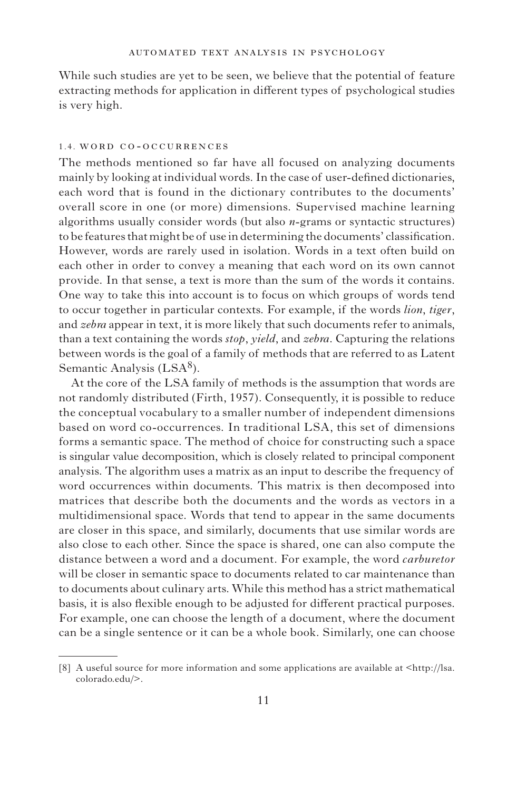While such studies are yet to be seen, we believe that the potential of feature extracting methods for application in different types of psychological studies is very high.

### 1.4. WORD CO-OCCURRENCES

The methods mentioned so far have all focused on analyzing documents mainly by looking at individual words. In the case of user-defined dictionaries, each word that is found in the dictionary contributes to the documents' overall score in one (or more) dimensions. Supervised machine learning algorithms usually consider words (but also *n*-grams or syntactic structures) to be features that might be of use in determining the documents' classification. However, words are rarely used in isolation. Words in a text often build on each other in order to convey a meaning that each word on its own cannot provide. In that sense, a text is more than the sum of the words it contains. One way to take this into account is to focus on which groups of words tend to occur together in particular contexts. For example, if the words *lion*, *tiger*, and *zebra* appear in text, it is more likely that such documents refer to animals, than a text containing the words *stop*, *yield*, and *zebra*. Capturing the relations between words is the goal of a family of methods that are referred to as Latent Semantic Analysis  $(LSA<sup>8</sup>)$ .

At the core of the LSA family of methods is the assumption that words are not randomly distributed (Firth, 1957). Consequently, it is possible to reduce the conceptual vocabulary to a smaller number of independent dimensions based on word co-occurrences. In traditional LSA, this set of dimensions forms a semantic space. The method of choice for constructing such a space is singular value decomposition, which is closely related to principal component analysis. The algorithm uses a matrix as an input to describe the frequency of word occurrences within documents. This matrix is then decomposed into matrices that describe both the documents and the words as vectors in a multidimensional space. Words that tend to appear in the same documents are closer in this space, and similarly, documents that use similar words are also close to each other. Since the space is shared, one can also compute the distance between a word and a document. For example, the word *carburetor* will be closer in semantic space to documents related to car maintenance than to documents about culinary arts. While this method has a strict mathematical basis, it is also flexible enough to be adjusted for different practical purposes. For example, one can choose the length of a document, where the document can be a single sentence or it can be a whole book. Similarly, one can choose

<sup>[8]</sup> A useful source for more information and some applications are available at  $\langle \text{http://lsa.} \rangle$ colorado.edu/>.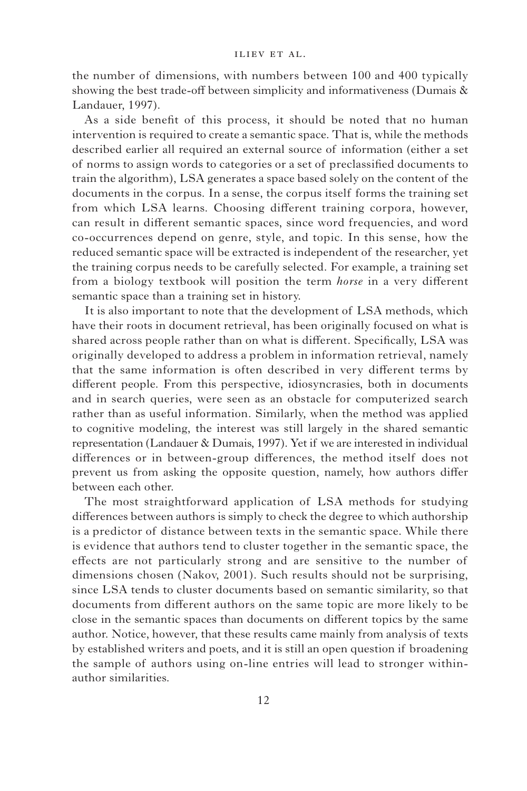the number of dimensions, with numbers between 100 and 400 typically showing the best trade-off between simplicity and informativeness (Dumais  $\&$ Landauer, 1997).

As a side benefit of this process, it should be noted that no human intervention is required to create a semantic space. That is, while the methods described earlier all required an external source of information (either a set of norms to assign words to categories or a set of preclassified documents to train the algorithm), LSA generates a space based solely on the content of the documents in the corpus. In a sense, the corpus itself forms the training set from which LSA learns. Choosing different training corpora, however, can result in different semantic spaces, since word frequencies, and word co-occurrences depend on genre, style, and topic. In this sense, how the reduced semantic space will be extracted is independent of the researcher, yet the training corpus needs to be carefully selected. For example, a training set from a biology textbook will position the term *horse* in a very different semantic space than a training set in history.

It is also important to note that the development of LSA methods, which have their roots in document retrieval, has been originally focused on what is shared across people rather than on what is different. Specifically, LSA was originally developed to address a problem in information retrieval, namely that the same information is often described in very different terms by different people. From this perspective, idiosyncrasies, both in documents and in search queries, were seen as an obstacle for computerized search rather than as useful information. Similarly, when the method was applied to cognitive modeling, the interest was still largely in the shared semantic representation (Landauer & Dumais, 1997). Yet if we are interested in individual differences or in between-group differences, the method itself does not prevent us from asking the opposite question, namely, how authors differ between each other.

The most straightforward application of LSA methods for studying differences between authors is simply to check the degree to which authorship is a predictor of distance between texts in the semantic space. While there is evidence that authors tend to cluster together in the semantic space, the effects are not particularly strong and are sensitive to the number of dimensions chosen (Nakov, 2001). Such results should not be surprising, since LSA tends to cluster documents based on semantic similarity, so that documents from different authors on the same topic are more likely to be close in the semantic spaces than documents on different topics by the same author. Notice, however, that these results came mainly from analysis of texts by established writers and poets, and it is still an open question if broadening the sample of authors using on-line entries will lead to stronger withinauthor similarities.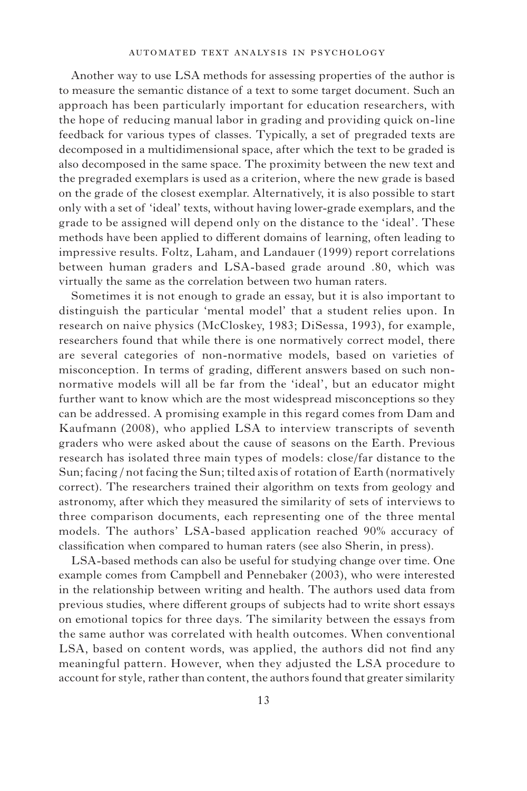#### automated text analysis in psychology

Another way to use LSA methods for assessing properties of the author is to measure the semantic distance of a text to some target document. Such an approach has been particularly important for education researchers, with the hope of reducing manual labor in grading and providing quick on-line feedback for various types of classes. Typically, a set of pregraded texts are decomposed in a multidimensional space, after which the text to be graded is also decomposed in the same space. The proximity between the new text and the pregraded exemplars is used as a criterion, where the new grade is based on the grade of the closest exemplar. Alternatively, it is also possible to start only with a set of 'ideal' texts, without having lower-grade exemplars, and the grade to be assigned will depend only on the distance to the 'ideal'. These methods have been applied to different domains of learning, often leading to impressive results. Foltz, Laham, and Landauer (1999) report correlations between human graders and LSA-based grade around .80, which was virtually the same as the correlation between two human raters.

Sometimes it is not enough to grade an essay, but it is also important to distinguish the particular 'mental model' that a student relies upon. In research on naive physics (McCloskey, 1983; DiSessa, 1993), for example, researchers found that while there is one normatively correct model, there are several categories of non-normative models, based on varieties of misconception. In terms of grading, different answers based on such nonnormative models will all be far from the 'ideal', but an educator might further want to know which are the most widespread misconceptions so they can be addressed. A promising example in this regard comes from Dam and Kaufmann (2008), who applied LSA to interview transcripts of seventh graders who were asked about the cause of seasons on the Earth. Previous research has isolated three main types of models: close/far distance to the Sun; facing / not facing the Sun; tilted axis of rotation of Earth (normatively correct). The researchers trained their algorithm on texts from geology and astronomy, after which they measured the similarity of sets of interviews to three comparison documents, each representing one of the three mental models. The authors' LSA-based application reached 90% accuracy of classification when compared to human raters (see also Sherin, in press).

LSA-based methods can also be useful for studying change over time. One example comes from Campbell and Pennebaker (2003), who were interested in the relationship between writing and health. The authors used data from previous studies, where different groups of subjects had to write short essays on emotional topics for three days. The similarity between the essays from the same author was correlated with health outcomes. When conventional LSA, based on content words, was applied, the authors did not find any meaningful pattern. However, when they adjusted the LSA procedure to account for style, rather than content, the authors found that greater similarity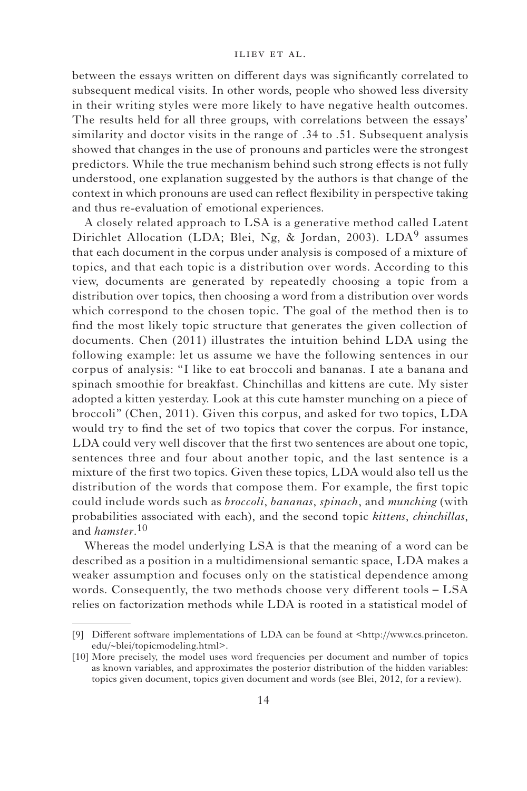between the essays written on different days was significantly correlated to subsequent medical visits. In other words, people who showed less diversity in their writing styles were more likely to have negative health outcomes. The results held for all three groups, with correlations between the essays' similarity and doctor visits in the range of .34 to .51. Subsequent analysis showed that changes in the use of pronouns and particles were the strongest predictors. While the true mechanism behind such strong effects is not fully understood, one explanation suggested by the authors is that change of the context in which pronouns are used can reflect flexibility in perspective taking and thus re-evaluation of emotional experiences.

A closely related approach to LSA is a generative method called Latent Dirichlet Allocation (LDA; Blei, Ng, & Jordan, 2003). LDA<sup>9</sup> assumes that each document in the corpus under analysis is composed of a mixture of topics, and that each topic is a distribution over words. According to this view, documents are generated by repeatedly choosing a topic from a distribution over topics, then choosing a word from a distribution over words which correspond to the chosen topic. The goal of the method then is to find the most likely topic structure that generates the given collection of documents. Chen (2011) illustrates the intuition behind LDA using the following example: let us assume we have the following sentences in our corpus of analysis: "I like to eat broccoli and bananas. I ate a banana and spinach smoothie for breakfast. Chinchillas and kittens are cute. My sister adopted a kitten yesterday. Look at this cute hamster munching on a piece of broccoli" (Chen, 2011). Given this corpus, and asked for two topics, LDA would try to find the set of two topics that cover the corpus. For instance, LDA could very well discover that the first two sentences are about one topic, sentences three and four about another topic, and the last sentence is a mixture of the first two topics. Given these topics, LDA would also tell us the distribution of the words that compose them. For example, the first topic could include words such as *broccoli*, *bananas*, *spinach*, and *munching* (with probabilities associated with each), and the second topic *kittens*, *chinchillas*, and *hamster*. 10

Whereas the model underlying LSA is that the meaning of a word can be described as a position in a multidimensional semantic space, LDA makes a weaker assumption and focuses only on the statistical dependence among words. Consequently, the two methods choose very different tools  $-$  LSA relies on factorization methods while LDA is rooted in a statistical model of

<sup>[9]</sup> Different software implementations of LDA can be found at <http://www.cs.princeton. edu/~blei/topicmodeling.html>.

<sup>[10]</sup> More precisely, the model uses word frequencies per document and number of topics as known variables, and approximates the posterior distribution of the hidden variables: topics given document, topics given document and words (see Blei, 2012 , for a review).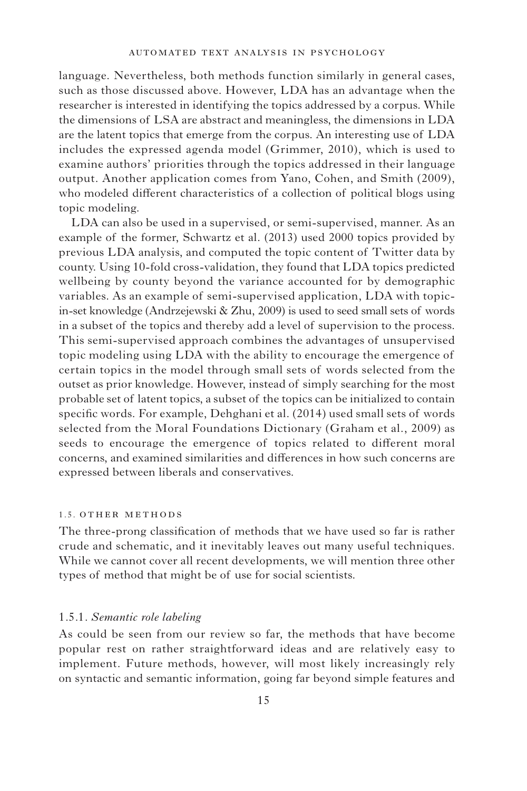language. Nevertheless, both methods function similarly in general cases, such as those discussed above. However, LDA has an advantage when the researcher is interested in identifying the topics addressed by a corpus. While the dimensions of LSA are abstract and meaningless, the dimensions in LDA are the latent topics that emerge from the corpus. An interesting use of LDA includes the expressed agenda model (Grimmer, 2010), which is used to examine authors' priorities through the topics addressed in their language output. Another application comes from Yano, Cohen, and Smith (2009), who modeled different characteristics of a collection of political blogs using topic modeling.

LDA can also be used in a supervised, or semi-supervised, manner. As an example of the former, Schwartz et al. (2013) used 2000 topics provided by previous LDA analysis, and computed the topic content of Twitter data by county. Using 10-fold cross-validation, they found that LDA topics predicted wellbeing by county beyond the variance accounted for by demographic variables. As an example of semi-supervised application, LDA with topicin-set knowledge (Andrzejewski & Zhu, 2009 ) is used to seed small sets of words in a subset of the topics and thereby add a level of supervision to the process. This semi-supervised approach combines the advantages of unsupervised topic modeling using LDA with the ability to encourage the emergence of certain topics in the model through small sets of words selected from the outset as prior knowledge. However, instead of simply searching for the most probable set of latent topics, a subset of the topics can be initialized to contain specific words. For example, Dehghani et al. (2014) used small sets of words selected from the Moral Foundations Dictionary (Graham et al., 2009 ) as seeds to encourage the emergence of topics related to different moral concerns, and examined similarities and differences in how such concerns are expressed between liberals and conservatives.

#### 1.5. OTHER METHODS

The three-prong classification of methods that we have used so far is rather crude and schematic, and it inevitably leaves out many useful techniques. While we cannot cover all recent developments, we will mention three other types of method that might be of use for social scientists.

### 1*.*5*.*1*. Semantic role labeling*

As could be seen from our review so far, the methods that have become popular rest on rather straightforward ideas and are relatively easy to implement. Future methods, however, will most likely increasingly rely on syntactic and semantic information, going far beyond simple features and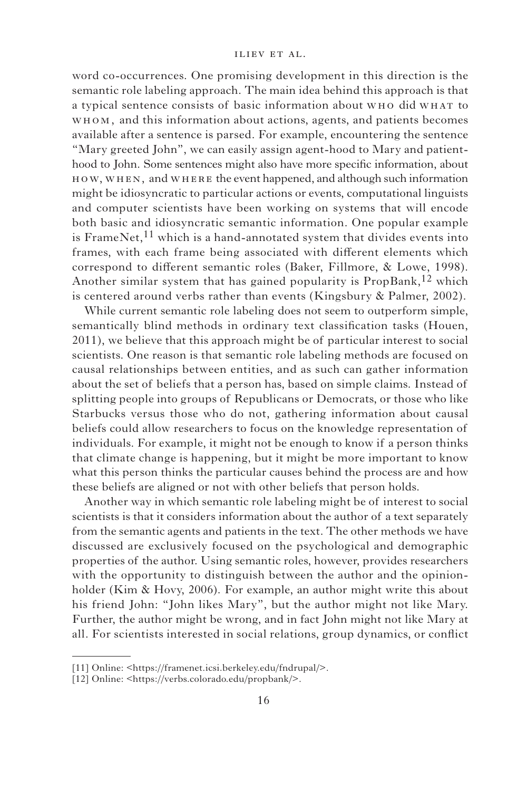word co-occurrences. One promising development in this direction is the semantic role labeling approach. The main idea behind this approach is that a typical sentence consists of basic information about WHO did WHAT to whom,and this information about actions, agents, and patients becomes available after a sentence is parsed. For example, encountering the sentence "Mary greeted John", we can easily assign agent-hood to Mary and patienthood to John. Some sentences might also have more specific information, about HOW, WHEN, and WHERE the event happened, and although such information might be idiosyncratic to particular actions or events, computational linguists and computer scientists have been working on systems that will encode both basic and idiosyncratic semantic information. One popular example is FrameNet,  $11$  which is a hand-annotated system that divides events into frames, with each frame being associated with different elements which correspond to different semantic roles (Baker, Fillmore, & Lowe, 1998). Another similar system that has gained popularity is  $PropBank<sup>12</sup>$  which is centered around verbs rather than events (Kingsbury  $\&$  Palmer, 2002).

While current semantic role labeling does not seem to outperform simple, semantically blind methods in ordinary text classification tasks (Houen, 2011 ), we believe that this approach might be of particular interest to social scientists. One reason is that semantic role labeling methods are focused on causal relationships between entities, and as such can gather information about the set of beliefs that a person has, based on simple claims. Instead of splitting people into groups of Republicans or Democrats, or those who like Starbucks versus those who do not, gathering information about causal beliefs could allow researchers to focus on the knowledge representation of individuals. For example, it might not be enough to know if a person thinks that climate change is happening, but it might be more important to know what this person thinks the particular causes behind the process are and how these beliefs are aligned or not with other beliefs that person holds.

Another way in which semantic role labeling might be of interest to social scientists is that it considers information about the author of a text separately from the semantic agents and patients in the text. The other methods we have discussed are exclusively focused on the psychological and demographic properties of the author. Using semantic roles, however, provides researchers with the opportunity to distinguish between the author and the opinionholder (Kim & Hovy, 2006). For example, an author might write this about his friend John: "John likes Mary", but the author might not like Mary. Further, the author might be wrong, and in fact John might not like Mary at all. For scientists interested in social relations, group dynamics, or conflict

<sup>[11]</sup> Online: <https://framenet.icsi.berkeley.edu/fndrupal/>.

<sup>[12]</sup> Online: <https://verbs.colorado.edu/propbank/>.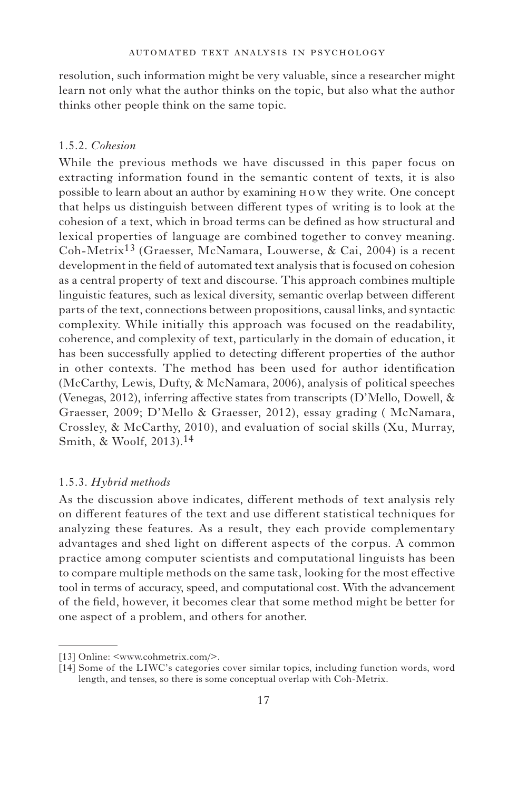resolution, such information might be very valuable, since a researcher might learn not only what the author thinks on the topic, but also what the author thinks other people think on the same topic.

## 1.5.2. *Cohesion*

While the previous methods we have discussed in this paper focus on extracting information found in the semantic content of texts, it is also possible to learn about an author by examining howthey write. One concept that helps us distinguish between different types of writing is to look at the cohesion of a text, which in broad terms can be defined as how structural and lexical properties of language are combined together to convey meaning. Coh-Metrix<sup>13</sup> (Graesser, McNamara, Louwerse, & Cai, 2004) is a recent development in the field of automated text analysis that is focused on cohesion as a central property of text and discourse. This approach combines multiple linguistic features, such as lexical diversity, semantic overlap between different parts of the text, connections between propositions, causal links, and syntactic complexity. While initially this approach was focused on the readability, coherence, and complexity of text, particularly in the domain of education, it has been successfully applied to detecting different properties of the author in other contexts. The method has been used for author identification (McCarthy, Lewis, Dufty,  $\&$  McNamara, 2006), analysis of political speeches (Venegas, 2012), inferring affective states from transcripts (D'Mello, Dowell, & Graesser, 2009; D'Mello & Graesser, 2012), essay grading ( McNamara, Crossley, & McCarthy, 2010), and evaluation of social skills (Xu, Murray, Smith,  $& Woolf, 2013$ .<sup>14</sup>

### 1.5.3. *Hybrid methods*

As the discussion above indicates, different methods of text analysis rely on different features of the text and use different statistical techniques for analyzing these features. As a result, they each provide complementary advantages and shed light on different aspects of the corpus. A common practice among computer scientists and computational linguists has been to compare multiple methods on the same task, looking for the most effective tool in terms of accuracy, speed, and computational cost. With the advancement of the field, however, it becomes clear that some method might be better for one aspect of a problem, and others for another.

<sup>[13]</sup> Online: <www.cohmetrix.com/>.

<sup>[ 14 ]</sup> Some of the LIWC's categories cover similar topics, including function words, word length, and tenses, so there is some conceptual overlap with Coh-Metrix.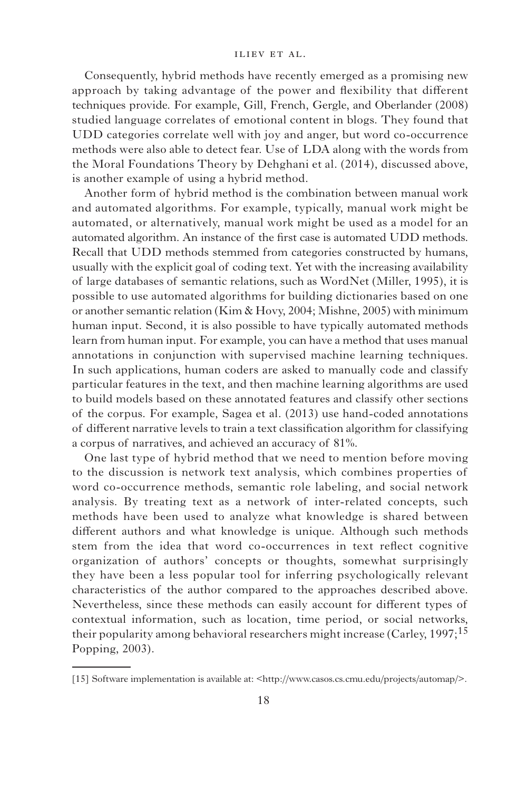Consequently, hybrid methods have recently emerged as a promising new approach by taking advantage of the power and flexibility that different techniques provide. For example, Gill, French, Gergle, and Oberlander (2008) studied language correlates of emotional content in blogs. They found that UDD categories correlate well with joy and anger, but word co-occurrence methods were also able to detect fear. Use of LDA along with the words from the Moral Foundations Theory by Dehghani et al. (2014), discussed above, is another example of using a hybrid method.

Another form of hybrid method is the combination between manual work and automated algorithms. For example, typically, manual work might be automated, or alternatively, manual work might be used as a model for an automated algorithm. An instance of the first case is automated UDD methods. Recall that UDD methods stemmed from categories constructed by humans, usually with the explicit goal of coding text. Yet with the increasing availability of large databases of semantic relations, such as WordNet (Miller, 1995 ), it is possible to use automated algorithms for building dictionaries based on one or another semantic relation (Kim  $\&$  Hovy, 2004; Mishne, 2005) with minimum human input. Second, it is also possible to have typically automated methods learn from human input. For example, you can have a method that uses manual annotations in conjunction with supervised machine learning techniques. In such applications, human coders are asked to manually code and classify particular features in the text, and then machine learning algorithms are used to build models based on these annotated features and classify other sections of the corpus. For example, Sagea et al. ( 2013 ) use hand-coded annotations of different narrative levels to train a text classification algorithm for classifying a corpus of narratives, and achieved an accuracy of 81%.

One last type of hybrid method that we need to mention before moving to the discussion is network text analysis, which combines properties of word co-occurrence methods, semantic role labeling, and social network analysis. By treating text as a network of inter-related concepts, such methods have been used to analyze what knowledge is shared between different authors and what knowledge is unique. Although such methods stem from the idea that word co-occurrences in text reflect cognitive organization of authors' concepts or thoughts, somewhat surprisingly they have been a less popular tool for inferring psychologically relevant characteristics of the author compared to the approaches described above. Nevertheless, since these methods can easily account for different types of contextual information, such as location, time period, or social networks, their popularity among behavioral researchers might increase (Carley,  $1997$ ;  $15$ ) Popping, 2003).

<sup>[15]</sup> Software implementation is available at: <http://www.casos.cs.cmu.edu/projects/automap/>.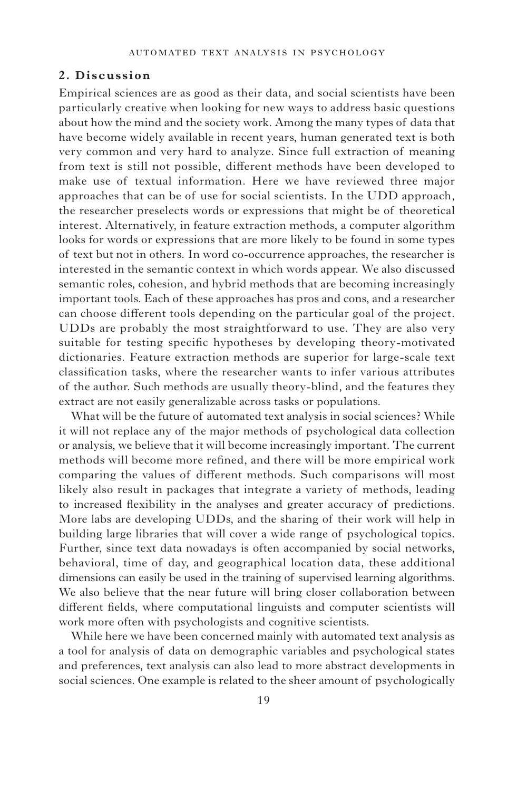### **2. Discussion**

Empirical sciences are as good as their data, and social scientists have been particularly creative when looking for new ways to address basic questions about how the mind and the society work. Among the many types of data that have become widely available in recent years, human generated text is both very common and very hard to analyze. Since full extraction of meaning from text is still not possible, different methods have been developed to make use of textual information. Here we have reviewed three major approaches that can be of use for social scientists. In the UDD approach, the researcher preselects words or expressions that might be of theoretical interest. Alternatively, in feature extraction methods, a computer algorithm looks for words or expressions that are more likely to be found in some types of text but not in others. In word co-occurrence approaches, the researcher is interested in the semantic context in which words appear. We also discussed semantic roles, cohesion, and hybrid methods that are becoming increasingly important tools. Each of these approaches has pros and cons, and a researcher can choose different tools depending on the particular goal of the project. UDDs are probably the most straightforward to use. They are also very suitable for testing specific hypotheses by developing theory-motivated dictionaries. Feature extraction methods are superior for large-scale text classifi cation tasks, where the researcher wants to infer various attributes of the author. Such methods are usually theory-blind, and the features they extract are not easily generalizable across tasks or populations.

What will be the future of automated text analysis in social sciences? While it will not replace any of the major methods of psychological data collection or analysis, we believe that it will become increasingly important. The current methods will become more refined, and there will be more empirical work comparing the values of different methods. Such comparisons will most likely also result in packages that integrate a variety of methods, leading to increased flexibility in the analyses and greater accuracy of predictions. More labs are developing UDDs, and the sharing of their work will help in building large libraries that will cover a wide range of psychological topics. Further, since text data nowadays is often accompanied by social networks, behavioral, time of day, and geographical location data, these additional dimensions can easily be used in the training of supervised learning algorithms. We also believe that the near future will bring closer collaboration between different fields, where computational linguists and computer scientists will work more often with psychologists and cognitive scientists.

While here we have been concerned mainly with automated text analysis as a tool for analysis of data on demographic variables and psychological states and preferences, text analysis can also lead to more abstract developments in social sciences. One example is related to the sheer amount of psychologically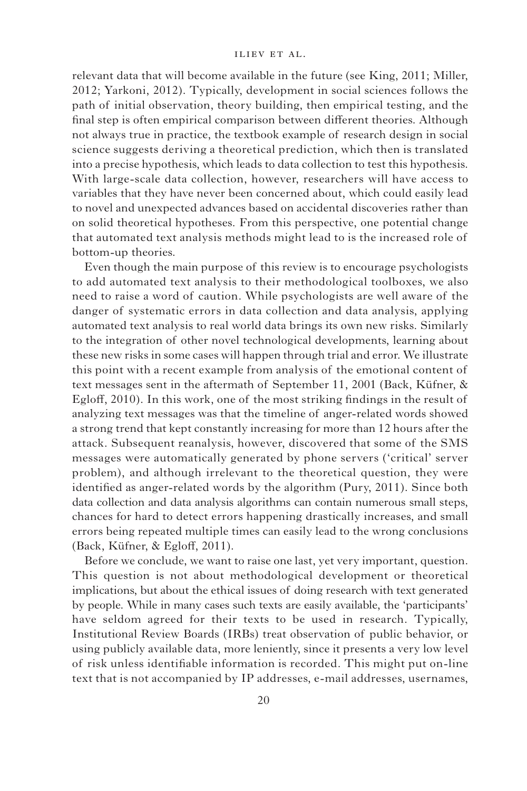relevant data that will become available in the future (see King, 2011; Miller, 2012 ; Yarkoni, 2012 ). Typically, development in social sciences follows the path of initial observation, theory building, then empirical testing, and the final step is often empirical comparison between different theories. Although not always true in practice, the textbook example of research design in social science suggests deriving a theoretical prediction, which then is translated into a precise hypothesis, which leads to data collection to test this hypothesis. With large-scale data collection, however, researchers will have access to variables that they have never been concerned about, which could easily lead to novel and unexpected advances based on accidental discoveries rather than on solid theoretical hypotheses. From this perspective, one potential change that automated text analysis methods might lead to is the increased role of bottom-up theories.

Even though the main purpose of this review is to encourage psychologists to add automated text analysis to their methodological toolboxes, we also need to raise a word of caution. While psychologists are well aware of the danger of systematic errors in data collection and data analysis, applying automated text analysis to real world data brings its own new risks. Similarly to the integration of other novel technological developments, learning about these new risks in some cases will happen through trial and error. We illustrate this point with a recent example from analysis of the emotional content of text messages sent in the aftermath of September 11, 2001 (Back, Küfner, & Egloff,  $2010$ ). In this work, one of the most striking findings in the result of analyzing text messages was that the timeline of anger-related words showed a strong trend that kept constantly increasing for more than 12 hours after the attack. Subsequent reanalysis, however, discovered that some of the SMS messages were automatically generated by phone servers ('critical' server problem), and although irrelevant to the theoretical question, they were identified as anger-related words by the algorithm (Pury, 2011). Since both data collection and data analysis algorithms can contain numerous small steps, chances for hard to detect errors happening drastically increases, and small errors being repeated multiple times can easily lead to the wrong conclusions (Back, Küfner, & Egloff, 2011).

Before we conclude, we want to raise one last, yet very important, question. This question is not about methodological development or theoretical implications, but about the ethical issues of doing research with text generated by people. While in many cases such texts are easily available, the 'participants' have seldom agreed for their texts to be used in research. Typically, Institutional Review Boards (IRBs) treat observation of public behavior, or using publicly available data, more leniently, since it presents a very low level of risk unless identifiable information is recorded. This might put on-line text that is not accompanied by IP addresses, e-mail addresses, usernames,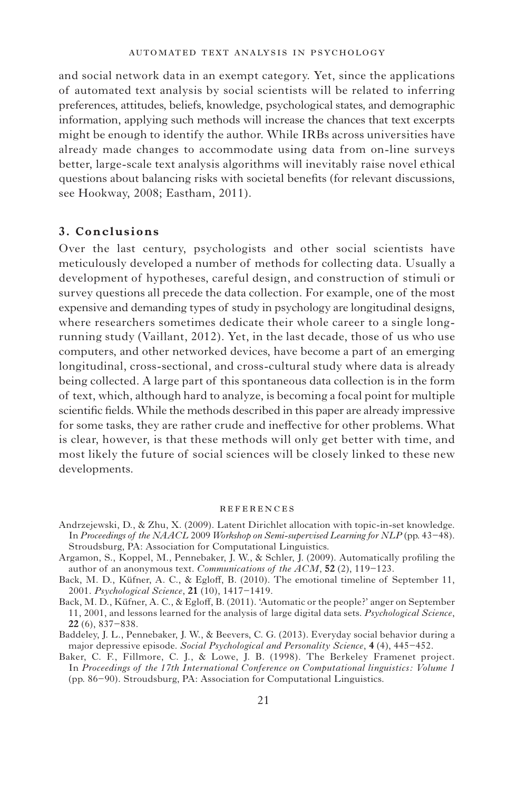and social network data in an exempt category. Yet, since the applications of automated text analysis by social scientists will be related to inferring preferences, attitudes, beliefs, knowledge, psychological states, and demographic information, applying such methods will increase the chances that text excerpts might be enough to identify the author. While IRBs across universities have already made changes to accommodate using data from on-line surveys better, large-scale text analysis algorithms will inevitably raise novel ethical questions about balancing risks with societal benefits (for relevant discussions, see Hookway, 2008; Eastham, 2011).

### **3. Conclusions**

Over the last century, psychologists and other social scientists have meticulously developed a number of methods for collecting data. Usually a development of hypotheses, careful design, and construction of stimuli or survey questions all precede the data collection. For example, one of the most expensive and demanding types of study in psychology are longitudinal designs, where researchers sometimes dedicate their whole career to a single longrunning study (Vaillant, 2012). Yet, in the last decade, those of us who use computers, and other networked devices, have become a part of an emerging longitudinal, cross-sectional, and cross-cultural study where data is already being collected. A large part of this spontaneous data collection is in the form of text, which, although hard to analyze, is becoming a focal point for multiple scientific fields. While the methods described in this paper are already impressive for some tasks, they are rather crude and ineffective for other problems. What is clear, however, is that these methods will only get better with time, and most likely the future of social sciences will be closely linked to these new developments.

#### references

- Andrzejewski, D., & Zhu, X. (2009). Latent Dirichlet allocation with topic-in-set knowledge. In *Proceedings of the NAACL* 2009 *Workshop on Semi-supervised Learning for NLP* (pp. 43 − 48 ). Stroudsburg, PA: Association for Computational Linguistics.
- Argamon, S., Koppel, M., Pennebaker, J. W., & Schler, J. (2009). Automatically profiling the author of an anonymous text. *Communications of the ACM*, **52** (2), 119−123.
- Back, M. D., Küfner, A. C., & Egloff, B. (2010). The emotional timeline of September 11, 2001. *Psychological Science*, **21** (10), 1417-1419.
- Back, M. D., Küfner, A. C., & Egloff, B. (2011). 'Automatic or the people?' anger on September 11, 2001, and lessons learned for the analysis of large digital data sets . *Psychological Science*, **22** (6), 837 – 838.
- Baddeley, J. L., Pennebaker, J. W., & Beevers, C. G. (2013). Everyday social behavior during a major depressive episode . *Social Psychological and Personality Science*, **4** ( 4 ), 445 − 452 .
- Baker, C. F., Fillmore, C. J., & Lowe, J. B. (1998). The Berkeley Framenet project. In *Proceedings of the 17th International Conference on Computational linguistics: Volume 1* (pp. 86–90). Stroudsburg, PA: Association for Computational Linguistics.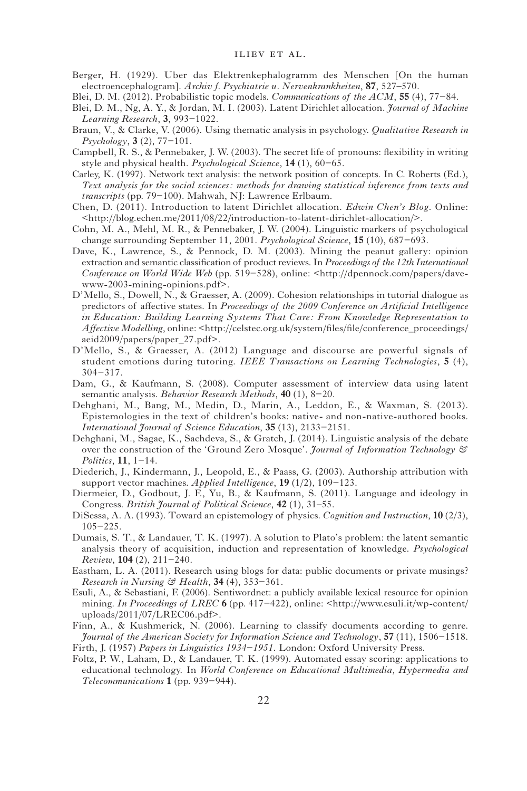- Berger, H. (1929). Uber das Elektrenkephalogramm des Menschen [On the human electroencephalogram]. *Archiv f. Psychiatrie u. Nervenkrankheiten*, **87**, 527–570.
- Blei, D. M. (2012). Probabilistic topic models. *Communications of the ACM*, **55** (4), 77–84.
- Blei , D. M. , Ng , A. Y. , & Jordan , M. I . ( 2003 ). Latent Dirichlet allocation . *Journal of Machine Learning Research*, **3**, 993 − 1022 .
- Braun , V. , & Clarke , V . ( 2006 ). Using thematic analysis in psychology . *Qualitative Research in Psychology*, **3** (2), 77-101.
- Campbell, R. S., & Pennebaker, J. W. (2003). The secret life of pronouns: flexibility in writing style and physical health. *Psychological Science*, **14** (1), 60−65.
- Carley, K. (1997). Network text analysis: the network position of concepts. In C. Roberts (Ed.), *Text analysis for the social sciences: methods for drawing statistical inference from texts and transcripts* (pp. 79-100). Mahwah, NJ: Lawrence Erlbaum.
- Chen, D. (2011). Introduction to latent Dirichlet allocation. *Edwin Chen's Blog*. Online: < http://blog.echen.me/2011/08/22/introduction-to-latent-dirichlet-allocation/ >.
- Cohn, M. A., Mehl, M. R., & Pennebaker, J. W. (2004). Linguistic markers of psychological change surrounding September 11, 2001 . *Psychological Science*, **15** ( 10 ), 687 − 693 .
- Dave, K., Lawrence, S., & Pennock, D. M. (2003). Mining the peanut gallery: opinion extraction and semantic classification of product reviews. In *Proceedings of the 12th International Conference on World Wide Web* (pp. 519 − 528 ), online: < http://dpennock.com/papers/davewww-2003-mining-opinions.pdf>.
- D'Mello, S., Dowell, N., & Graesser, A. (2009). Cohesion relationships in tutorial dialogue as predictors of affective states. In *Proceedings of the 2009 Conference on Artificial Intelligence in Education: Building Learning Systems That Care: From Knowledge Representation to Affective Modelling*, online: <http://celstec.org.uk/system/files/file/conference\_proceedings/ aeid2009/papers/paper\_27.pdf>.
- D'Mello, S., & Graesser, A. (2012) Language and discourse are powerful signals of student emotions during tutoring . *IEEE Transactions on Learning Technologies*, **5** ( 4 ),  $304 - 317$ .
- Dam, G., & Kaufmann, S. (2008). Computer assessment of interview data using latent semantic analysis. *Behavior Research Methods*, 40 (1), 8-20.
- Dehghani, M., Bang, M., Medin, D., Marin, A., Leddon, E., & Waxman, S. (2013). Epistemologies in the text of children's books: native- and non-native-authored books . *International Journal of Science Education*, **35** (13), 2133−2151.
- Dehghani, M., Sagae, K., Sachdeva, S., & Gratch, J. (2014). Linguistic analysis of the debate over the construction of the 'Ground Zero Mosque' . *Journal of Information Technology & Politics*, **11**, 1–14.
- Diederich, J., Kindermann, J., Leopold, E., & Paass, G. (2003). Authorship attribution with support vector machines. *Applied Intelligence*, **19** (1/2), 109−123.
- Diermeier, D., Godbout, J. F., Yu, B., & Kaufmann, S. (2011). Language and ideology in Congress. *British Journal of Political Science*, 42 (1), 31-55.
- DiSessa, A. A. (1993). Toward an epistemology of physics. *Cognition and Instruction*, **10** (2/3), 105 − 225 .
- Dumais , S. T. , & Landauer , T. K . ( 1997 ). A solution to Plato's problem: the latent semantic analysis theory of acquisition, induction and representation of knowledge . *Psychological Review*, **104** (2), 211−240.
- Eastham, L. A. (2011). Research using blogs for data: public documents or private musings? *Research in Nursing* & Health, 34 (4), 353-361.
- Esuli, A., & Sebastiani, F. (2006). Sentiwordnet: a publicly available lexical resource for opinion mining. *In Proceedings of LREC* **6** (pp. 417−422), online: <http://www.esuli.it/wp-content/ uploads/2011/07/LREC06.pdf>.
- Finn, A., & Kushmerick, N. (2006). Learning to classify documents according to genre. *Journal of the American Society for Information Science and Technology*, **57** ( 11 ), 1506 − 1518 .
- Firth, J. (1957) *Papers in Linguistics 1934-1951*. London: Oxford University Press.
- Foltz , P. W. , Laham , D. , & Landauer , T. K . ( 1999 ). Automated essay scoring: applications to educational technology . In *World Conference on Educational Multimedia, Hypermedia and Telecommunications* **1** (pp. 939 − 944 ).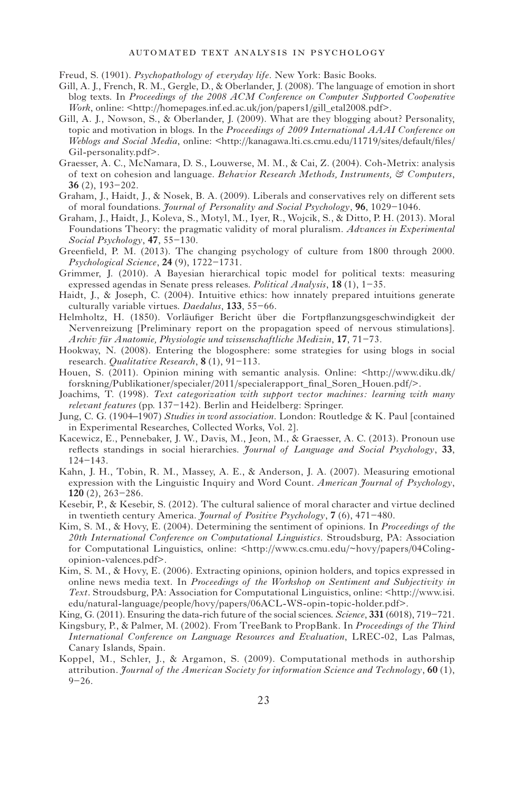#### automated text analysis in psychology

Freud, S. (1901). *Psychopathology of everyday life*. New York: Basic Books.

- Gill, A. J., French, R. M., Gergle, D., & Oberlander, J. (2008). The language of emotion in short blog texts . In *Proceedings of the 2008 ACM Conference on Computer Supported Cooperative Work*, online: <http://homepages.inf.ed.ac.uk/jon/papers1/gill\_etal2008.pdf>.
- Gill, A. J., Nowson, S., & Oberlander, J. (2009). What are they blogging about? Personality, topic and motivation in blogs . In the *Proceedings of 2009 International AAAI Conference on Weblogs and Social Media*, online: <http://kanagawa.lti.cs.cmu.edu/11719/sites/default/files/ Gil-personality.pdf>.
- Graesser, A. C., McNamara, D. S., Louwerse, M. M., & Cai, Z. (2004). Coh-Metrix: analysis of text on cohesion and language . *Behavior Research Methods, Instruments, & Computers*, **36** (2), 193−202.
- Graham, J., Haidt, J., & Nosek, B. A. (2009). Liberals and conservatives rely on different sets of moral foundations . *Journal of Personality and Social Psychology*, **96**, 1029 − 1046 .
- Graham, J., Haidt, J., Koleva, S., Motyl, M., Iyer, R., Wojcik, S., & Ditto, P. H. (2013). Moral Foundations Theory: the pragmatic validity of moral pluralism . *Advances in Experimental Social Psychology*, **47**, 55 − 130 .
- Greenfield, P. M. (2013). The changing psychology of culture from 1800 through 2000. *Psychological Science*, **24** (9), 1722−1731.
- Grimmer, J. (2010). A Bayesian hierarchical topic model for political texts: measuring expressed agendas in Senate press releases . *Political Analysis*, **18** ( 1 ), 1 − 35 .
- Haidt, J., & Joseph, C. (2004). Intuitive ethics: how innately prepared intuitions generate culturally variable virtues . *Daedalus*, **133**, 55 − 66 .
- Helmholtz, H. (1850). Vorläufiger Bericht über die Fortpflanzungsgeschwindigkeit der Nervenreizung [Preliminary report on the propagation speed of nervous stimulations] . *Archiv für Anatomie, Physiologie und wissenschaftliche Medizin*, **17**, 71 − 73 .
- Hookway, N. (2008). Entering the blogosphere: some strategies for using blogs in social research . *Qualitative Research*, **8** ( 1 ), 91 − 113 .
- Houen, S. (2011). Opinion mining with semantic analysis. Online: <http://www.diku.dk/ forskning/Publikationer/specialer/2011/specialerapport\_final\_Soren\_Houen.pdf/>.
- Joachims , T . ( 1998 ). *Text categorization with support vector machines: learning with many relevant features* (pp. 137–142). Berlin and Heidelberg: Springer.
- Jung , C. G . (1904– 1907 ) *Studies in word association*. London : Routledge & K. Paul [contained in Experimental Researches, Collected Works, Vol. 2] .
- Kacewicz, E., Pennebaker, J. W., Davis, M., Jeon, M., & Graesser, A. C. (2013). Pronoun use refl ects standings in social hierarchies . *Journal of Language and Social Psychology*, **33**, 124 − 143 .
- Kahn, J. H., Tobin, R. M., Massey, A. E., & Anderson, J. A. (2007). Measuring emotional expression with the Linguistic Inquiry and Word Count . *American Journal of Psychology*, **120** (2), 263-286.
- Kesebir, P., & Kesebir, S. (2012). The cultural salience of moral character and virtue declined in twentieth century America . *Journal of Positive Psychology*, **7** ( 6 ), 471 − 480 .
- Kim , S. M. , & Hovy , E . ( 2004 ). Determining the sentiment of opinions . In *Proceedings of the*  20th International Conference on Computational Linguistics. Stroudsburg, PA: Association for Computational Linguistics , online: < http://www.cs.cmu.edu/~hovy/papers/04Colingopinion-valences.pdf>.
- Kim, S. M., & Hovy, E. (2006). Extracting opinions, opinion holders, and topics expressed in online news media text . In *Proceedings of the Workshop on Sentiment and Subjectivity in Text.* Stroudsburg, PA: Association for Computational Linguistics, online:  $\langle$ http://www.isi. edu/natural-language/people/hovy/papers/06ACL-WS-opin-topic-holder.pdf>.
- King , G . ( 2011 ). Ensuring the data-rich future of the social sciences . *Science*, **331** ( 6018 ), 719 − 721 .
- Kingsbury , P. , & Palmer , M . ( 2002 ). From TreeBank to PropBank . In *Proceedings of the Third International Conference on Language Resources and Evaluation*, LREC-02, Las Palmas, Canary Islands, Spain .
- Koppel, M., Schler, J., & Argamon, S. (2009). Computational methods in authorship attribution . *Journal of the American Society for information Science and Technology*, **60** ( 1 ),  $9 - 26$ .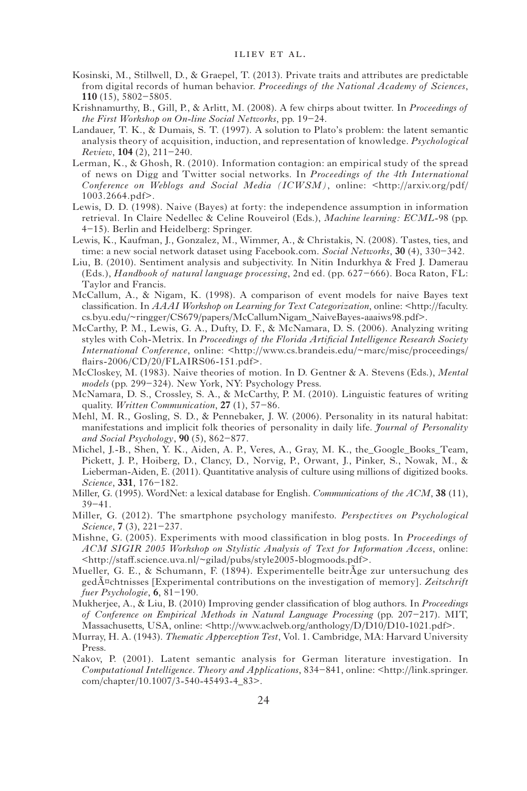- Kosinski, M., Stillwell, D., & Graepel, T. (2013). Private traits and attributes are predictable from digital records of human behavior . *Proceedings of the National Academy of Sciences*, **110** (15), 5802–5805.
- Krishnamurthy , B. , Gill , P. , & Arlitt , M . ( 2008 ). A few chirps about twitter . In *Proceedings of the First Workshop on On-line Social Networks*, pp. 19−24.
- Landauer, T. K., & Dumais, S. T. (1997). A solution to Plato's problem: the latent semantic analysis theory of acquisition, induction, and representation of knowledge . *Psychological Review*, **104** (2), 211−240.
- Lerman, K., & Ghosh, R.  $(2010)$ . Information contagion: an empirical study of the spread of news on Digg and Twitter social networks . In *Proceedings of the 4th International Conference on Weblogs and Social Media (ICWSM)* , online: < http://arxiv.org/pdf/ 1003.2664.pdf>.
- Lewis, D. D. (1998). Naive (Bayes) at forty: the independence assumption in information retrieval . In Claire Nedellec& Celine Rouveirol(Eds.), *Machine learning: ECML-*98(pp. 4-15). Berlin and Heidelberg: Springer.
- Lewis, K., Kaufman, J., Gonzalez, M., Wimmer, A., & Christakis, N. (2008). Tastes, ties, and time: a new social network dataset using Facebook.com. *Social Networks*, 30 (4), 330-342.
- Liu, B. (2010). Sentiment analysis and subjectivity. In Nitin Indurkhya & Fred J. Damerau (Eds.), *Handbook of natural language processing*, 2nd ed . (pp. 627 − 666 ). Boca Raton, FL : Taylor and Francis .
- McCallum, A., & Nigam, K. (1998). A comparison of event models for naive Bayes text classifi cation . In *AAAI Workshop on Learning for Text Categorization*, online: < http://faculty. cs.byu.edu/~ringger/CS679/papers/McCallumNigam\_NaiveBayes-aaaiws98.pdf>.
- McCarthy, P. M., Lewis, G. A., Dufty, D. F., & McNamara, D. S. (2006). Analyzing writing styles with Coh-Metrix. In *Proceedings of the Florida Artificial Intelligence Research Society International Conference*, online: < http://www.cs.brandeis.edu/~marc/misc/proceedings/ flairs-2006/CD/20/FLAIRS06-151.pdf>.
- McCloskey, M. (1983). Naive theories of motion. In D. Gentner & A. Stevens (Eds.), *Mental models* (pp. 299−324). New York, NY: Psychology Press.
- McNamara, D. S., Crossley, S. A., & McCarthy, P. M. (2010). Linguistic features of writing quality. *Written Communication*, 27(1), 57-86.
- Mehl, M. R., Gosling, S. D., & Pennebaker, J. W. (2006). Personality in its natural habitat: manifestations and implicit folk theories of personality in daily life . *Journal of Personality*  and Social Psychology, 90 (5), 862-877.
- Michel, J.-B., Shen, Y. K., Aiden, A. P., Veres, A., Gray, M. K., the Google Books Team, Pickett, J. P., Hoiberg, D., Clancy, D., Norvig, P., Orwant, J., Pinker, S., Nowak, M., & Lieberman-Aiden, E. (2011). Quantitative analysis of culture using millions of digitized books.  $Science$ , 331, 176−182.
- Miller, G. (1995). WordNet: a lexical database for English. *Communications of the ACM*, 38 (11),  $39 - 41$ .
- Miller, G. (2012). The smartphone psychology manifesto. Perspectives on Psychological *Science*, **7** (3), 221−237.
- Mishne, G. (2005). Experiments with mood classification in blog posts. In *Proceedings of ACM SIGIR 2005 Workshop on Stylistic Analysis of Text for Information Access*, online: < http://staff .science.uva.nl/~gilad/pubs/style2005-blogmoods.pdf >.
- Mueller, G. E., & Schumann, F. (1894). Experimentelle beitrÃge zur untersuchung des gedächtnisses [Experimental contributions on the investigation of memory] . *Zeitschrift fuer Psychologie*, **6**, 81−190.
- Mukherjee, A., & Liu, B. (2010) Improving gender classification of blog authors. In *Proceedings of Conference on Empirical Methods in Natural Language Processing* (pp. 207–217). MIT, Massachusetts, USA , online: < http://www.aclweb.org/anthology/D/D10/D10-1021.pdf >.
- Murray , H. A . ( 1943 ). *Thematic Apperception Test*, Vol. 1. Cambridge, MA : Harvard University Press.
- Nakov, P. (2001). Latent semantic analysis for German literature investigation. In *Computational Intelligence. Theory and Applications*, 834 − 841 , online: < http://link.springer. com/chapter/10.1007/3-540-45493-4\_83>.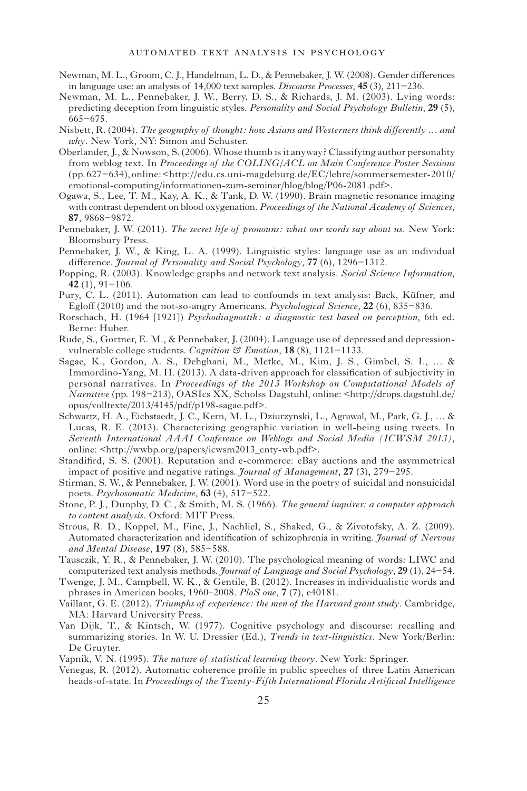#### automated text analysis in psychology

- Newman, M. L., Groom, C. J., Handelman, L. D., & Pennebaker, J. W. (2008). Gender differences in language use: an analysis of 14,000 text samples . *Discourse Processes*, **45** ( 3 ), 211 − 236 .
- Newman, M. L., Pennebaker, J. W., Berry, D. S., & Richards, J. M. (2003). Lying words: predicting deception from linguistic styles . *Personality and Social Psychology Bulletin*, **29** ( 5 ), 665 − 675 .
- Nisbett, R. (2004). *The geography of thought: how Asians and Westerners think differently ... and why*. New York, NY: Simon and Schuster.
- Oberlander , J. , & Nowson , S . ( 2006 ). Whose thumb is it anyway? Classifying author personality from weblog text . In *Proceedings of the COLING/ACL on Main Conference Poster Sessions* (pp. 627 − 634 ), online: < http://edu.cs.uni-magdeburg.de/EC/lehre/sommersemester-2010/ emotional-computing/informationen-zum-seminar/blog/blog/P06-2081.pdf>.
- Ogawa, S., Lee, T. M., Kay, A. K., & Tank, D. W. (1990). Brain magnetic resonance imaging with contrast dependent on blood oxygenation . *Proceedings of the National Academy of Sciences*, **87**, 9868 − 9872 .
- Pennebaker, J. W. (2011). *The secret life of pronouns: what our words say about us*. New York: Bloomsbury Press .
- Pennebaker, J. W., & King, L. A. (1999). Linguistic styles: language use as an individual difference. *Journal of Personality and Social Psychology*, **77** (6), 1296−1312.
- Popping , R . ( 2003 ). Knowledge graphs and network text analysis . *Social Science Information*, **42** (1),  $91 - 106$ .
- Pury, C. L. (2011). Automation can lead to confounds in text analysis: Back, Küfner, and Egloff (2010) and the not-so-angry Americans. *Psychological Science*, 22 (6), 835-836.
- Rorschach, H. (1964 [1921]) *Psychodiagnostik: a diagnostic test based on perception*, 6th ed. Berne: Huber.
- Rude, S., Gortner, E. M., & Pennebaker, J. (2004). Language use of depressed and depressionvulnerable college students. *Cognition*  $\mathcal{C}$  *Emotion*, **18** (8), 1121-1133.
- Sagae, K., Gordon, A. S., Dehghani, M., Metke, M., Kim, J. S., Gimbel, S. I., ... & Immordino-Yang, M. H. (2013). A data-driven approach for classification of subjectivity in personal narratives . In *Proceedings of the 2013 Workshop on Computational Models of Narrative* (pp. 198–213), OASIcs XX, Scholss Dagstuhl, online: <http://drops.dagstuhl.de/ opus/volltexte/2013/4145/pdf/p198-sagae.pdf>.
- Schwartz, H. A., Eichstaedt, J. C., Kern, M. L., Dziurzynski, L., Agrawal, M., Park, G. J., ... & Lucas, R. E. (2013). Characterizing geographic variation in well-being using tweets. In *Seventh International AAAI Conference on Weblogs and Social Media (ICWSM 2013)*, online: <http://wwbp.org/papers/icwsm2013\_cnty-wb.pdf>.
- Standifird, S. S. (2001). Reputation and e-commerce: eBay auctions and the asymmetrical impact of positive and negative ratings . *Journal of Management*, **27** ( 3 ), 279 − 295 .
- Stirman , S. W. , & Pennebaker , J. W . ( 2001 ). Word use in the poetry of suicidal and nonsuicidal poets . *Psychosomatic Medicine*, **63** ( 4 ), 517 − 522 .
- Stone , P. J. , Dunphy , D. C. , & Smith , M. S . ( 1966 ). *The general inquirer: a computer approach*  to content analysis. Oxford: MIT Press.
- Strous, R. D., Koppel, M., Fine, J., Nachliel, S., Shaked, G., & Zivotofsky, A. Z. (2009). Automated characterization and identification of schizophrenia in writing. *Journal of Nervous* and Mental Disease, **197** (8), 585-588.
- Tausczik, Y. R., & Pennebaker, J. W. (2010). The psychological meaning of words: LIWC and computerized text analysis methods. *Journal of Language and Social Psychology*, **29** (1), 24–54.
- Twenge, J. M., Campbell, W. K., & Gentile, B. (2012). Increases in individualistic words and phrases in American books, 1960–2008 . *PloS one*, **7** ( 7 ), e40181 .
- Vaillant, G. E. (2012). *Triumphs of experience: the men of the Harvard grant study*. Cambridge, MA: Harvard University Press.
- Van Dijk, T., & Kintsch, W. (1977). Cognitive psychology and discourse: recalling and summarizing stories. In W. U. Dressier (Ed.), *Trends in text-linguistics*. New York/Berlin: De Gruyter.
- Vapnik , V. N . ( 1995 ). *The nature of statistical learning theory*. New York : Springer .
- Venegas, R. (2012). Automatic coherence profile in public speeches of three Latin American heads-of-state. In *Proceedings of the Twenty-Fifth International Florida Artificial Intelligence*